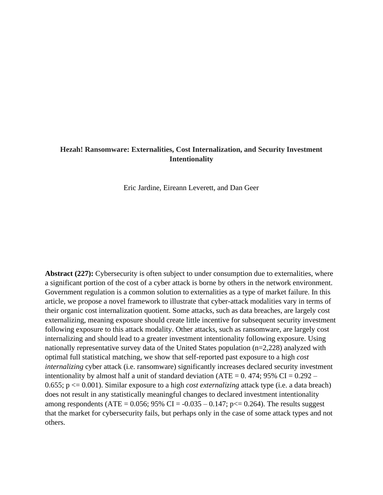## **Hezah! Ransomware: Externalities, Cost Internalization, and Security Investment Intentionality**

Eric Jardine, Eireann Leverett, and Dan Geer

**Abstract (227):** Cybersecurity is often subject to under consumption due to externalities, where a significant portion of the cost of a cyber attack is borne by others in the network environment. Government regulation is a common solution to externalities as a type of market failure. In this article, we propose a novel framework to illustrate that cyber-attack modalities vary in terms of their organic cost internalization quotient. Some attacks, such as data breaches, are largely cost externalizing, meaning exposure should create little incentive for subsequent security investment following exposure to this attack modality. Other attacks, such as ransomware, are largely cost internalizing and should lead to a greater investment intentionality following exposure. Using nationally representative survey data of the United States population (n=2,228) analyzed with optimal full statistical matching, we show that self-reported past exposure to a high *cost internalizing* cyber attack (i.e. ransomware) significantly increases declared security investment intentionality by almost half a unit of standard deviation (ATE =  $0.474$ ; 95% CI =  $0.292 -$ 0.655; p <= 0.001). Similar exposure to a high *cost externalizing* attack type (i.e. a data breach) does not result in any statistically meaningful changes to declared investment intentionality among respondents (ATE =  $0.056$ ; 95% CI =  $-0.035 - 0.147$ ; p $\le 0.264$ ). The results suggest that the market for cybersecurity fails, but perhaps only in the case of some attack types and not others.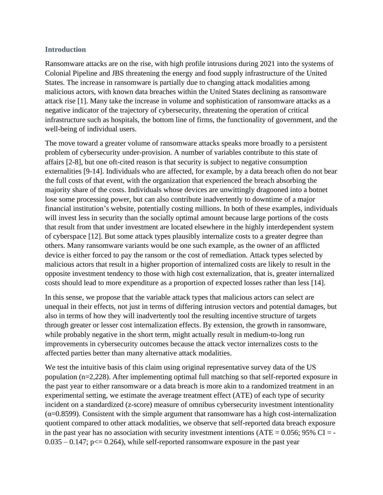## **Introduction**

Ransomware attacks are on the rise, with high profile intrusions during 2021 into the systems of Colonial Pipeline and JBS threatening the energy and food supply infrastructure of the United States. The increase in ransomware is partially due to changing attack modalities among malicious actors, with known data breaches within the United States declining as ransomware attack rise [1]. Many take the increase in volume and sophistication of ransomware attacks as a negative indicator of the trajectory of cybersecurity, threatening the operation of critical infrastructure such as hospitals, the bottom line of firms, the functionality of government, and the well-being of individual users.

The move toward a greater volume of ransomware attacks speaks more broadly to a persistent problem of cybersecurity under-provision. A number of variables contribute to this state of affairs [2-8], but one oft-cited reason is that security is subject to negative consumption externalities [9-14]. Individuals who are affected, for example, by a data breach often do not bear the full costs of that event, with the organization that experienced the breach absorbing the majority share of the costs. Individuals whose devices are unwittingly dragooned into a botnet lose some processing power, but can also contribute inadvertently to downtime of a major financial institution's website, potentially costing millions. In both of these examples, individuals will invest less in security than the socially optimal amount because large portions of the costs that result from that under investment are located elsewhere in the highly interdependent system of cyberspace [12]. But some attack types plausibly internalize costs to a greater degree than others. Many ransomware variants would be one such example, as the owner of an afflicted device is either forced to pay the ransom or the cost of remediation. Attack types selected by malicious actors that result in a higher proportion of internalized costs are likely to result in the opposite investment tendency to those with high cost externalization, that is, greater internalized costs should lead to more expenditure as a proportion of expected losses rather than less [14].

In this sense, we propose that the variable attack types that malicious actors can select are unequal in their effects, not just in terms of differing intrusion vectors and potential damages, but also in terms of how they will inadvertently tool the resulting incentive structure of targets through greater or lesser cost internalization effects. By extension, the growth in ransomware, while probably negative in the short term, might actually result in medium-to-long run improvements in cybersecurity outcomes because the attack vector internalizes costs to the affected parties better than many alternative attack modalities.

We test the intuitive basis of this claim using original representative survey data of the US population (n=2,228). After implementing optimal full matching so that self-reported exposure in the past year to either ransomware or a data breach is more akin to a randomized treatment in an experimental setting, we estimate the average treatment effect (ATE) of each type of security incident on a standardized (z-score) measure of omnibus cybersecurity investment intentionality  $(\alpha=0.8599)$ . Consistent with the simple argument that ransomware has a high cost-internalization quotient compared to other attack modalities, we observe that self-reported data breach exposure in the past year has no association with security investment intentions (ATE =  $0.056$ ; 95% CI = - $0.035 - 0.147$ ; p $\leq 0.264$ ), while self-reported ransomware exposure in the past year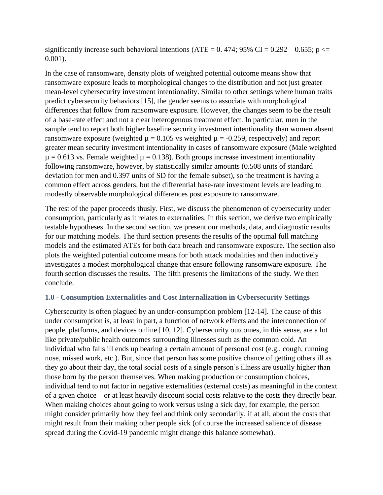significantly increase such behavioral intentions (ATE = 0.474; 95% CI = 0.292 – 0.655;  $p \le$ 0.001).

In the case of ransomware, density plots of weighted potential outcome means show that ransomware exposure leads to morphological changes to the distribution and not just greater mean-level cybersecurity investment intentionality. Similar to other settings where human traits predict cybersecurity behaviors [15], the gender seems to associate with morphological differences that follow from ransomware exposure. However, the changes seem to be the result of a base-rate effect and not a clear heterogenous treatment effect. In particular, men in the sample tend to report both higher baseline security investment intentionality than women absent ransomware exposure (weighted  $\mu = 0.105$  vs weighted  $\mu = -0.259$ , respectively) and report greater mean security investment intentionality in cases of ransomware exposure (Male weighted  $\mu$  = 0.613 vs. Female weighted  $\mu$  = 0.138). Both groups increase investment intentionality following ransomware, however, by statistically similar amounts (0.508 units of standard deviation for men and 0.397 units of SD for the female subset), so the treatment is having a common effect across genders, but the differential base-rate investment levels are leading to modestly observable morphological differences post exposure to ransomware.

The rest of the paper proceeds thusly. First, we discuss the phenomenon of cybersecurity under consumption, particularly as it relates to externalities. In this section, we derive two empirically testable hypotheses. In the second section, we present our methods, data, and diagnostic results for our matching models. The third section presents the results of the optimal full matching models and the estimated ATEs for both data breach and ransomware exposure. The section also plots the weighted potential outcome means for both attack modalities and then inductively investigates a modest morphological change that ensure following ransomware exposure. The fourth section discusses the results. The fifth presents the limitations of the study. We then conclude.

# **1.0 - Consumption Externalities and Cost Internalization in Cybersecurity Settings**

Cybersecurity is often plagued by an under-consumption problem [12-14]. The cause of this under consumption is, at least in part, a function of network effects and the interconnection of people, platforms, and devices online [10, 12]. Cybersecurity outcomes, in this sense, are a lot like private/public health outcomes surrounding illnesses such as the common cold. An individual who falls ill ends up bearing a certain amount of personal cost (e.g., cough, running nose, missed work, etc.). But, since that person has some positive chance of getting others ill as they go about their day, the total social costs of a single person's illness are usually higher than those born by the person themselves. When making production or consumption choices, individual tend to not factor in negative externalities (external costs) as meaningful in the context of a given choice—or at least heavily discount social costs relative to the costs they directly bear. When making choices about going to work versus using a sick day, for example, the person might consider primarily how they feel and think only secondarily, if at all, about the costs that might result from their making other people sick (of course the increased salience of disease spread during the Covid-19 pandemic might change this balance somewhat).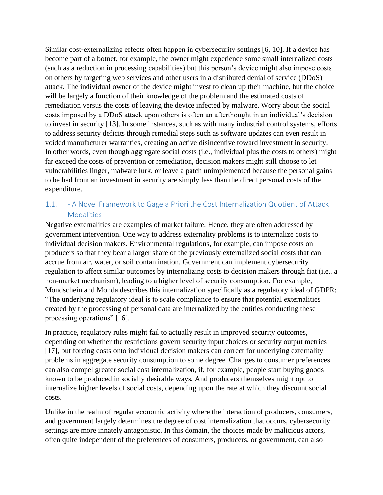Similar cost-externalizing effects often happen in cybersecurity settings [6, 10]. If a device has become part of a botnet, for example, the owner might experience some small internalized costs (such as a reduction in processing capabilities) but this person's device might also impose costs on others by targeting web services and other users in a distributed denial of service (DDoS) attack. The individual owner of the device might invest to clean up their machine, but the choice will be largely a function of their knowledge of the problem and the estimated costs of remediation versus the costs of leaving the device infected by malware. Worry about the social costs imposed by a DDoS attack upon others is often an afterthought in an individual's decision to invest in security [13]. In some instances, such as with many industrial control systems, efforts to address security deficits through remedial steps such as software updates can even result in voided manufacturer warranties, creating an active disincentive toward investment in security. In other words, even though aggregate social costs (i.e., individual plus the costs to others) might far exceed the costs of prevention or remediation, decision makers might still choose to let vulnerabilities linger, malware lurk, or leave a patch unimplemented because the personal gains to be had from an investment in security are simply less than the direct personal costs of the expenditure.

# 1.1. - A Novel Framework to Gage a Priori the Cost Internalization Quotient of Attack Modalities

Negative externalities are examples of market failure. Hence, they are often addressed by government intervention. One way to address externality problems is to internalize costs to individual decision makers. Environmental regulations, for example, can impose costs on producers so that they bear a larger share of the previously externalized social costs that can accrue from air, water, or soil contamination. Government can implement cybersecurity regulation to affect similar outcomes by internalizing costs to decision makers through fiat (i.e., a non-market mechanism), leading to a higher level of security consumption. For example, Mondschein and Monda describes this internalization specifically as a regulatory ideal of GDPR: "The underlying regulatory ideal is to scale compliance to ensure that potential externalities created by the processing of personal data are internalized by the entities conducting these processing operations" [16].

In practice, regulatory rules might fail to actually result in improved security outcomes, depending on whether the restrictions govern security input choices or security output metrics [17], but forcing costs onto individual decision makers can correct for underlying externality problems in aggregate security consumption to some degree. Changes to consumer preferences can also compel greater social cost internalization, if, for example, people start buying goods known to be produced in socially desirable ways. And producers themselves might opt to internalize higher levels of social costs, depending upon the rate at which they discount social costs.

Unlike in the realm of regular economic activity where the interaction of producers, consumers, and government largely determines the degree of cost internalization that occurs, cybersecurity settings are more innately antagonistic. In this domain, the choices made by malicious actors, often quite independent of the preferences of consumers, producers, or government, can also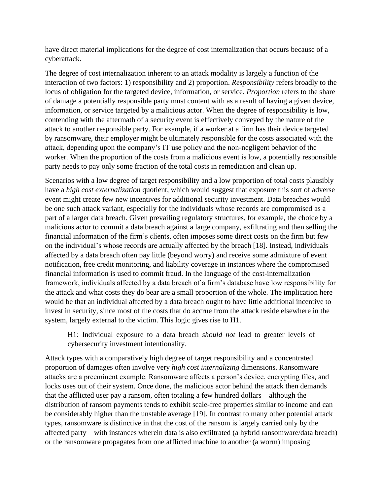have direct material implications for the degree of cost internalization that occurs because of a cyberattack.

The degree of cost internalization inherent to an attack modality is largely a function of the interaction of two factors: 1) responsibility and 2) proportion. *Responsibility* refers broadly to the locus of obligation for the targeted device, information, or service. *Proportion* refers to the share of damage a potentially responsible party must content with as a result of having a given device, information, or service targeted by a malicious actor. When the degree of responsibility is low, contending with the aftermath of a security event is effectively conveyed by the nature of the attack to another responsible party. For example, if a worker at a firm has their device targeted by ransomware, their employer might be ultimately responsible for the costs associated with the attack, depending upon the company's IT use policy and the non-negligent behavior of the worker. When the proportion of the costs from a malicious event is low, a potentially responsible party needs to pay only some fraction of the total costs in remediation and clean up.

Scenarios with a low degree of target responsibility and a low proportion of total costs plausibly have a *high cost externalization* quotient, which would suggest that exposure this sort of adverse event might create few new incentives for additional security investment. Data breaches would be one such attack variant, especially for the individuals whose records are compromised as a part of a larger data breach. Given prevailing regulatory structures, for example, the choice by a malicious actor to commit a data breach against a large company, exfiltrating and then selling the financial information of the firm's clients, often imposes some direct costs on the firm but few on the individual's whose records are actually affected by the breach [18]. Instead, individuals affected by a data breach often pay little (beyond worry) and receive some admixture of event notification, free credit monitoring, and liability coverage in instances where the compromised financial information is used to commit fraud. In the language of the cost-internalization framework, individuals affected by a data breach of a firm's database have low responsibility for the attack and what costs they do bear are a small proportion of the whole. The implication here would be that an individual affected by a data breach ought to have little additional incentive to invest in security, since most of the costs that do accrue from the attack reside elsewhere in the system, largely external to the victim. This logic gives rise to H1.

H1: Individual exposure to a data breach *should not* lead to greater levels of cybersecurity investment intentionality.

Attack types with a comparatively high degree of target responsibility and a concentrated proportion of damages often involve very *high cost internalizing* dimensions. Ransomware attacks are a preeminent example. Ransomware affects a person's device, encrypting files, and locks uses out of their system. Once done, the malicious actor behind the attack then demands that the afflicted user pay a ransom, often totaling a few hundred dollars—although the distribution of ransom payments tends to exhibit scale-free properties similar to income and can be considerably higher than the unstable average [19]. In contrast to many other potential attack types, ransomware is distinctive in that the cost of the ransom is largely carried only by the affected party – with instances wherein data is also exfiltrated (a hybrid ransomware/data breach) or the ransomware propagates from one afflicted machine to another (a worm) imposing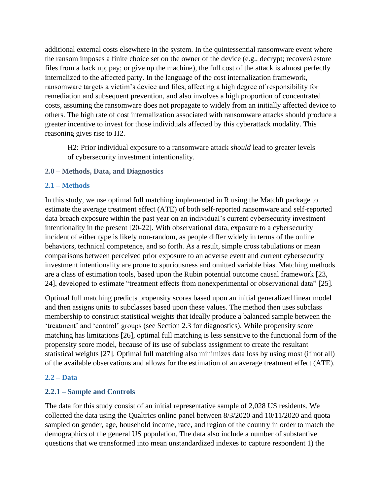additional external costs elsewhere in the system. In the quintessential ransomware event where the ransom imposes a finite choice set on the owner of the device (e.g., decrypt; recover/restore files from a back up; pay; or give up the machine), the full cost of the attack is almost perfectly internalized to the affected party. In the language of the cost internalization framework, ransomware targets a victim's device and files, affecting a high degree of responsibility for remediation and subsequent prevention, and also involves a high proportion of concentrated costs, assuming the ransomware does not propagate to widely from an initially affected device to others. The high rate of cost internalization associated with ransomware attacks should produce a greater incentive to invest for those individuals affected by this cyberattack modality. This reasoning gives rise to H2.

H2: Prior individual exposure to a ransomware attack *should* lead to greater levels of cybersecurity investment intentionality.

### **2.0 – Methods, Data, and Diagnostics**

#### **2.1 – Methods**

In this study, we use optimal full matching implemented in R using the MatchIt package to estimate the average treatment effect (ATE) of both self-reported ransomware and self-reported data breach exposure within the past year on an individual's current cybersecurity investment intentionality in the present [20-22]. With observational data, exposure to a cybersecurity incident of either type is likely non-random, as people differ widely in terms of the online behaviors, technical competence, and so forth. As a result, simple cross tabulations or mean comparisons between perceived prior exposure to an adverse event and current cybersecurity investment intentionality are prone to spuriousness and omitted variable bias. Matching methods are a class of estimation tools, based upon the Rubin potential outcome causal framework [23, 24], developed to estimate "treatment effects from nonexperimental or observational data" [25].

Optimal full matching predicts propensity scores based upon an initial generalized linear model and then assigns units to subclasses based upon these values. The method then uses subclass membership to construct statistical weights that ideally produce a balanced sample between the 'treatment' and 'control' groups (see Section 2.3 for diagnostics). While propensity score matching has limitations [26], optimal full matching is less sensitive to the functional form of the propensity score model, because of its use of subclass assignment to create the resultant statistical weights [27]. Optimal full matching also minimizes data loss by using most (if not all) of the available observations and allows for the estimation of an average treatment effect (ATE).

#### **2.2 – Data**

### **2.2.1 – Sample and Controls**

The data for this study consist of an initial representative sample of 2,028 US residents. We collected the data using the Qualtrics online panel between 8/3/2020 and 10/11/2020 and quota sampled on gender, age, household income, race, and region of the country in order to match the demographics of the general US population. The data also include a number of substantive questions that we transformed into mean unstandardized indexes to capture respondent 1) the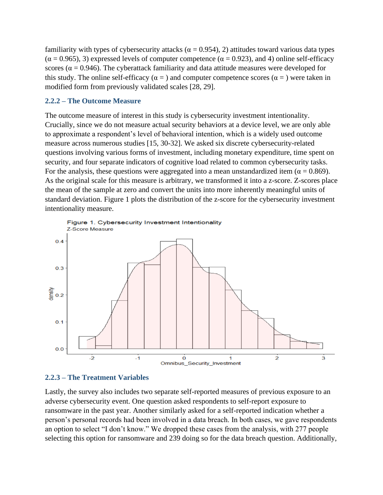familiarity with types of cybersecurity attacks ( $\alpha = 0.954$ ), 2) attitudes toward various data types  $(\alpha = 0.965)$ , 3) expressed levels of computer competence ( $\alpha = 0.923$ ), and 4) online self-efficacy scores ( $\alpha$  = 0.946). The cyberattack familiarity and data attitude measures were developed for this study. The online self-efficacy ( $\alpha$  = ) and computer competence scores ( $\alpha$  = ) were taken in modified form from previously validated scales [28, 29].

## **2.2.2 – The Outcome Measure**

The outcome measure of interest in this study is cybersecurity investment intentionality. Crucially, since we do not measure actual security behaviors at a device level, we are only able to approximate a respondent's level of behavioral intention, which is a widely used outcome measure across numerous studies [15, 30-32]. We asked six discrete cybersecurity-related questions involving various forms of investment, including monetary expenditure, time spent on security, and four separate indicators of cognitive load related to common cybersecurity tasks. For the analysis, these questions were aggregated into a mean unstandardized item ( $\alpha = 0.869$ ). As the original scale for this measure is arbitrary, we transformed it into a z-score. Z-scores place the mean of the sample at zero and convert the units into more inherently meaningful units of standard deviation. Figure 1 plots the distribution of the z-score for the cybersecurity investment intentionality measure.



### **2.2.3 – The Treatment Variables**

Lastly, the survey also includes two separate self-reported measures of previous exposure to an adverse cybersecurity event. One question asked respondents to self-report exposure to ransomware in the past year. Another similarly asked for a self-reported indication whether a person's personal records had been involved in a data breach. In both cases, we gave respondents an option to select "I don't know." We dropped these cases from the analysis, with 277 people selecting this option for ransomware and 239 doing so for the data breach question. Additionally,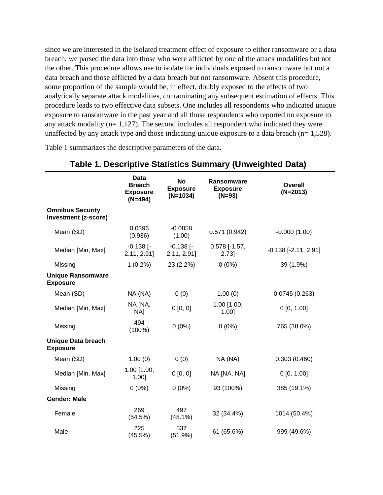since we are interested in the isolated treatment effect of exposure to either ransomware or a data breach, we parsed the data into those who were afflicted by one of the attack modalities but not the other. This procedure allows use to isolate for individuals exposed to ransomware but not a data breach and those afflicted by a data breach but not ransomware. Absent this procedure, some proportion of the sample would be, in effect, doubly exposed to the effects of two analytically separate attack modalities, contaminating any subsequent estimation of effects. This procedure leads to two effective data subsets. One includes all respondents who indicated unique exposure to ransomware in the past year and all those respondents who reported no exposure to any attack modality ( $n= 1,127$ ). The second includes all respondent who indicated they were unaffected by any attack type and those indicating unique exposure to a data breach ( $n= 1,528$ ).

Table 1 summarizes the descriptive parameters of the data.

|                                                 | <b>Data</b><br><b>Breach</b><br><b>Exposure</b><br>$(N=494)$ | <b>No</b><br><b>Exposure</b><br>$(N=1034)$ | <b>Ransomware</b><br><b>Exposure</b><br>$(N=93)$ | <b>Overall</b><br>$(N=2013)$  |
|-------------------------------------------------|--------------------------------------------------------------|--------------------------------------------|--------------------------------------------------|-------------------------------|
| <b>Omnibus Security</b><br>Investment (z-score) |                                                              |                                            |                                                  |                               |
| Mean (SD)                                       | 0.0396<br>(0.936)                                            | $-0.0858$<br>(1.00)                        | 0.571(0.942)                                     | $-0.000(1.00)$                |
| Median [Min, Max]                               | $-0.138$ $\Gamma$<br>2.11, 2.91                              | $-0.138$ [ $-$<br>2.11, 2.91               | $0.578$ [-1.57,<br>$2.73$ ]                      | $-0.138$ [ $-2.11$ , $2.91$ ] |
| Missing                                         | $1(0.2\%)$                                                   | 23 (2.2%)                                  | $0(0\%)$                                         | 39 (1.9%)                     |
| <b>Unique Ransomware</b><br><b>Exposure</b>     |                                                              |                                            |                                                  |                               |
| Mean (SD)                                       | NA (NA)                                                      | 0(0)                                       | 1.00(0)                                          | 0.0745(0.263)                 |
| Median [Min, Max]                               | NA [NA,<br>NA]                                               | 0 [0, 0]                                   | 1.00 [1.00,<br>$1.00$ ]                          | 0[0, 1.00]                    |
| Missing                                         | 494<br>$(100\%)$                                             | $0(0\%)$                                   | $0(0\%)$                                         | 765 (38.0%)                   |
| <b>Unique Data breach</b><br><b>Exposure</b>    |                                                              |                                            |                                                  |                               |
| Mean (SD)                                       | 1.00(0)                                                      | 0(0)                                       | NA (NA)                                          | 0.303(0.460)                  |
| Median [Min, Max]                               | $1.00$ [1.00,<br>$1.00$ ]                                    | 0 [0, 0]                                   | NA [NA, NA]                                      | $0$ [0, 1.00]                 |
| Missing                                         | $0(0\%)$                                                     | $0(0\%)$                                   | 93 (100%)                                        | 385 (19.1%)                   |
| <b>Gender: Male</b>                             |                                                              |                                            |                                                  |                               |
| Female                                          | 269<br>(54.5%)                                               | 497<br>$(48.1\%)$                          | 32 (34.4%)                                       | 1014 (50.4%)                  |
| Male                                            | 225<br>(45.5%)                                               | 537<br>(51.9%)                             | 61 (65.6%)                                       | 999 (49.6%)                   |

# **Table 1. Descriptive Statistics Summary (Unweighted Data)**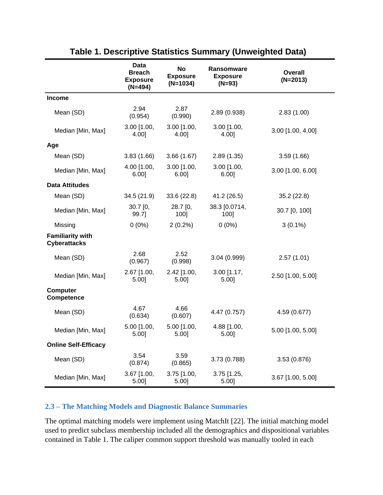|                                                | Data<br><b>Breach</b><br><b>Exposure</b><br>$(N=494)$ | No<br><b>Exposure</b><br>$(N=1034)$ | Ransomware<br><b>Exposure</b><br>$(N=93)$ | <b>Overall</b><br>$(N=2013)$ |
|------------------------------------------------|-------------------------------------------------------|-------------------------------------|-------------------------------------------|------------------------------|
| <b>Income</b>                                  |                                                       |                                     |                                           |                              |
| Mean (SD)                                      | 2.94<br>(0.954)                                       | 2.87<br>(0.990)                     | 2.89 (0.938)                              | 2.83(1.00)                   |
| Median [Min, Max]                              | $3.00$ [1.00,<br>4.00]                                | $3.00$ [1.00,<br>4.00]              | 3.00 [1.00,<br>4.00]                      | 3.00 [1.00, 4.00]            |
| Age                                            |                                                       |                                     |                                           |                              |
| Mean (SD)                                      | 3.83(1.66)                                            | 3.66(1.67)                          | 2.89(1.35)                                | 3.59(1.66)                   |
| Median [Min, Max]                              | $4.00$ [1.00,<br>$6.00$ ]                             | $3.00$ [1.00,<br>$6.00$ ]           | 3.00 [1.00,<br>6.00                       | 3.00 [1.00, 6.00]            |
| <b>Data Attitudes</b>                          |                                                       |                                     |                                           |                              |
| Mean (SD)                                      | 34.5(21.9)                                            | 33.6(22.8)                          | 41.2 (26.5)                               | 35.2(22.8)                   |
| Median [Min, Max]                              | $30.7$ [0,<br>99.7]                                   | 28.7 [0,<br>100]                    | 38.3 [0.0714,<br>100]                     | 30.7 [0, 100]                |
| Missing                                        | $0(0\%)$                                              | $2(0.2\%)$                          | $0(0\%)$                                  | $3(0.1\%)$                   |
| <b>Familiarity with</b><br><b>Cyberattacks</b> |                                                       |                                     |                                           |                              |
| Mean (SD)                                      | 2.68<br>(0.967)                                       | 2.52<br>(0.998)                     | 3.04(0.999)                               | 2.57(1.01)                   |
| Median [Min, Max]                              | $2.67$ [1.00,<br>5.00]                                | 2.42 [1.00,<br>5.00]                | $3.00$ [1.17,<br>5.00                     | 2.50 [1.00, 5.00]            |
| <b>Computer</b><br><b>Competence</b>           |                                                       |                                     |                                           |                              |
| Mean (SD)                                      | 4.67<br>(0.634)                                       | 4.66<br>(0.607)                     | 4.47 (0.757)                              | 4.59 (0.677)                 |
| Median [Min, Max]                              | $5.00$ [1.00,<br>5.00]                                | $5.00$ [1.00,<br>5.00]              | 4.88 [1.00,<br>5.00]                      | 5.00 [1.00, 5.00]            |
| <b>Online Self-Efficacy</b>                    |                                                       |                                     |                                           |                              |
| Mean (SD)                                      | 3.54<br>(0.874)                                       | 3.59<br>(0.865)                     | 3.73 (0.788)                              | 3.53(0.876)                  |
| Median [Min, Max]                              | 3.67 [1.00,<br>5.00]                                  | 3.75 [1.00,<br>5.00]                | 3.75 [1.25,<br>5.00]                      | 3.67 [1.00, 5.00]            |

# **Table 1. Descriptive Statistics Summary (Unweighted Data)**

# **2.3 – The Matching Models and Diagnostic Balance Summaries**

The optimal matching models were implement using MatchIt [22]. The initial matching model used to predict subclass membership included all the demographics and dispositional variables contained in Table 1. The caliper common support threshold was manually tooled in each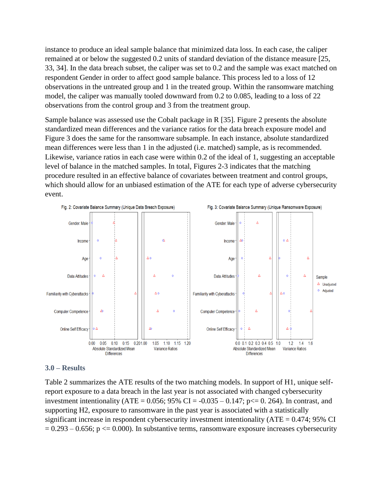instance to produce an ideal sample balance that minimized data loss. In each case, the caliper remained at or below the suggested 0.2 units of standard deviation of the distance measure [25, 33, 34]. In the data breach subset, the caliper was set to 0.2 and the sample was exact matched on respondent Gender in order to affect good sample balance. This process led to a loss of 12 observations in the untreated group and 1 in the treated group. Within the ransomware matching model, the caliper was manually tooled downward from 0.2 to 0.085, leading to a loss of 22 observations from the control group and 3 from the treatment group.

Sample balance was assessed use the Cobalt package in R [35]. Figure 2 presents the absolute standardized mean differences and the variance ratios for the data breach exposure model and Figure 3 does the same for the ransomware subsample. In each instance, absolute standardized mean differences were less than 1 in the adjusted (i.e. matched) sample, as is recommended. Likewise, variance ratios in each case were within 0.2 of the ideal of 1, suggesting an acceptable level of balance in the matched samples. In total, Figures 2-3 indicates that the matching procedure resulted in an effective balance of covariates between treatment and control groups, which should allow for an unbiased estimation of the ATE for each type of adverse cybersecurity event.



#### **3.0 – Results**

Table 2 summarizes the ATE results of the two matching models. In support of H1, unique selfreport exposure to a data breach in the last year is not associated with changed cybersecurity investment intentionality (ATE =  $0.056$ ; 95% CI =  $-0.035 - 0.147$ ; p $\le 0.264$ ). In contrast, and supporting H2, exposure to ransomware in the past year is associated with a statistically significant increase in respondent cybersecurity investment intentionality (ATE = 0.474; 95% CI  $= 0.293 - 0.656$ ; p  $\le 0.000$ ). In substantive terms, ransomware exposure increases cybersecurity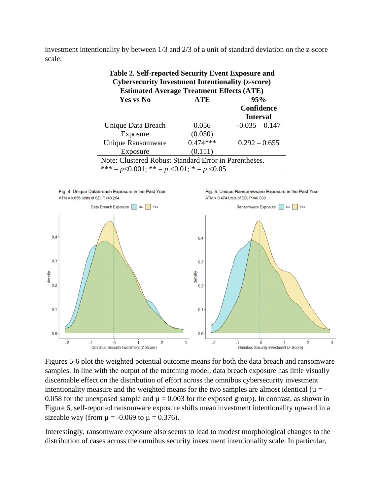investment intentionality by between 1/3 and 2/3 of a unit of standard deviation on the z-score scale.

**Table 2. Self-reported Security Event Exposure and** 

| Tuble 2. Bell Teported Becamity Event Exposure and<br><b>Cybersecurity Investment Intentionality (z-score)</b> |                  |                                      |  |  |  |  |
|----------------------------------------------------------------------------------------------------------------|------------------|--------------------------------------|--|--|--|--|
| <b>Estimated Average Treatment Effects (ATE)</b>                                                               |                  |                                      |  |  |  |  |
| Yes vs No                                                                                                      | <b>ATE</b>       | 95%<br>Confidence<br><b>Interval</b> |  |  |  |  |
| Unique Data Breach                                                                                             | 0.056<br>(0.050) | $-0.035 - 0.147$                     |  |  |  |  |
| Exposure<br>Unique Ransomware                                                                                  | $0.474***$       | $0.292 - 0.655$                      |  |  |  |  |
| (0.111)<br>Exposure                                                                                            |                  |                                      |  |  |  |  |
| Note: Clustered Robust Standard Error in Parentheses.<br>*** = $p<0.001$ ; ** = $p < 0.01$ ; * = $p < 0.05$    |                  |                                      |  |  |  |  |



Figures 5-6 plot the weighted potential outcome means for both the data breach and ransomware samples. In line with the output of the matching model, data breach exposure has little visually discernable effect on the distribution of effort across the omnibus cybersecurity investment intentionality measure and the weighted means for the two samples are almost identical  $(\mu = -$ 0.058 for the unexposed sample and  $\mu = 0.003$  for the exposed group). In contrast, as shown in Figure 6, self-reported ransomware exposure shifts mean investment intentionality upward in a sizeable way (from  $\mu = -0.069$  to  $\mu = 0.376$ ).

Interestingly, ransomware exposure also seems to lead to modest morphological changes to the distribution of cases across the omnibus security investment intentionality scale. In particular,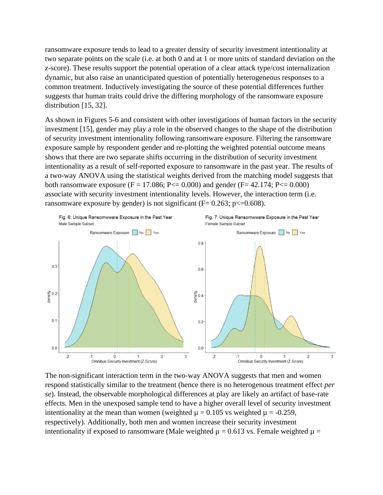ransomware exposure tends to lead to a greater density of security investment intentionality at two separate points on the scale (i.e. at both 0 and at 1 or more units of standard deviation on the z-score). These results support the potential operation of a clear attack type/cost internalization dynamic, but also raise an unanticipated question of potentially heterogeneous responses to a common treatment. Inductively investigating the source of these potential differences further suggests that human traits could drive the differing morphology of the ransomware exposure distribution [15, 32].

As shown in Figures 5-6 and consistent with other investigations of human factors in the security investment [15], gender may play a role in the observed changes to the shape of the distribution of security investment intentionality following ransomware exposure. Filtering the ransomware exposure sample by respondent gender and re-plotting the weighted potential outcome means shows that there are two separate shifts occurring in the distribution of security investment intentionality as a result of self-reported exposure to ransomware in the past year. The results of a two-way ANOVA using the statistical weights derived from the matching model suggests that both ransomware exposure ( $F = 17.086$ ;  $P \le 0.000$ ) and gender ( $F = 42.174$ ;  $P \le 0.000$ ) associate with security investment intentionality levels. However, the interaction term (i.e. ransomware exposure by gender) is not significant ( $F = 0.263$ ;  $p \le 0.608$ ).



The non-significant interaction term in the two-way ANOVA suggests that men and women respond statistically similar to the treatment (hence there is no heterogenous treatment effect *per se*). Instead, the observable morphological differences at play are likely an artifact of base-rate effects. Men in the unexposed sample tend to have a higher overall level of security investment intentionality at the mean than women (weighted  $\mu = 0.105$  vs weighted  $\mu = -0.259$ , respectively). Additionally, both men and women increase their security investment intentionality if exposed to ransomware (Male weighted  $\mu = 0.613$  vs. Female weighted  $\mu =$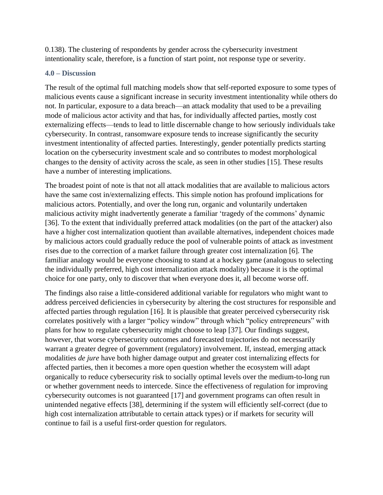0.138). The clustering of respondents by gender across the cybersecurity investment intentionality scale, therefore, is a function of start point, not response type or severity.

## **4.0 – Discussion**

The result of the optimal full matching models show that self-reported exposure to some types of malicious events cause a significant increase in security investment intentionality while others do not. In particular, exposure to a data breach—an attack modality that used to be a prevailing mode of malicious actor activity and that has, for individually affected parties, mostly cost externalizing effects—tends to lead to little discernable change to how seriously individuals take cybersecurity. In contrast, ransomware exposure tends to increase significantly the security investment intentionality of affected parties. Interestingly, gender potentially predicts starting location on the cybersecurity investment scale and so contributes to modest morphological changes to the density of activity across the scale, as seen in other studies [15]. These results have a number of interesting implications.

The broadest point of note is that not all attack modalities that are available to malicious actors have the same cost in/externalizing effects. This simple notion has profound implications for malicious actors. Potentially, and over the long run, organic and voluntarily undertaken malicious activity might inadvertently generate a familiar 'tragedy of the commons' dynamic [36]. To the extent that individually preferred attack modalities (on the part of the attacker) also have a higher cost internalization quotient than available alternatives, independent choices made by malicious actors could gradually reduce the pool of vulnerable points of attack as investment rises due to the correction of a market failure through greater cost internalization [6]. The familiar analogy would be everyone choosing to stand at a hockey game (analogous to selecting the individually preferred, high cost internalization attack modality) because it is the optimal choice for one party, only to discover that when everyone does it, all become worse off.

The findings also raise a little-considered additional variable for regulators who might want to address perceived deficiencies in cybersecurity by altering the cost structures for responsible and affected parties through regulation [16]. It is plausible that greater perceived cybersecurity risk correlates positively with a larger "policy window" through which "policy entrepreneurs" with plans for how to regulate cybersecurity might choose to leap [37]. Our findings suggest, however, that worse cybersecurity outcomes and forecasted trajectories do not necessarily warrant a greater degree of government (regulatory) involvement. If, instead, emerging attack modalities *de jure* have both higher damage output and greater cost internalizing effects for affected parties, then it becomes a more open question whether the ecosystem will adapt organically to reduce cybersecurity risk to socially optimal levels over the medium-to-long run or whether government needs to intercede. Since the effectiveness of regulation for improving cybersecurity outcomes is not guaranteed [17] and government programs can often result in unintended negative effects [38], determining if the system will efficiently self-correct (due to high cost internalization attributable to certain attack types) or if markets for security will continue to fail is a useful first-order question for regulators.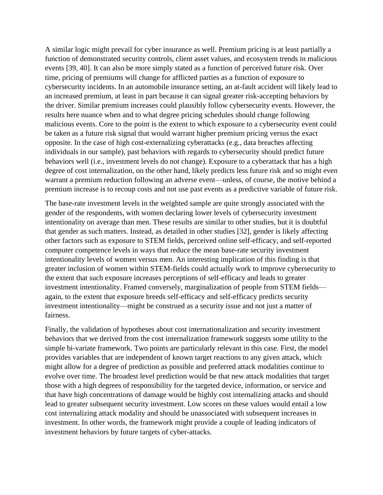A similar logic might prevail for cyber insurance as well. Premium pricing is at least partially a function of demonstrated security controls, client asset values, and ecosystem trends in malicious events [39, 40]. It can also be more simply stated as a function of perceived future risk. Over time, pricing of premiums will change for afflicted parties as a function of exposure to cybersecurity incidents. In an automobile insurance setting, an at-fault accident will likely lead to an increased premium, at least in part because it can signal greater risk-accepting behaviors by the driver. Similar premium increases could plausibly follow cybersecurity events. However, the results here nuance when and to what degree pricing schedules should change following malicious events. Core to the point is the extent to which exposure to a cybersecurity event could be taken as a future risk signal that would warrant higher premium pricing versus the exact opposite. In the case of high cost-externalizing cyberattacks (e.g., data breaches affecting individuals in our sample), past behaviors with regards to cybersecurity should predict future behaviors well (i.e., investment levels do not change). Exposure to a cyberattack that has a high degree of cost internalization, on the other hand, likely predicts less future risk and so might even warrant a premium reduction following an adverse event—unless, of course, the motive behind a premium increase is to recoup costs and not use past events as a predictive variable of future risk.

The base-rate investment levels in the weighted sample are quite strongly associated with the gender of the respondents, with women declaring lower levels of cybersecurity investment intentionality on average than men. These results are similar to other studies, but it is doubtful that gender as such matters. Instead, as detailed in other studies [32], gender is likely affecting other factors such as exposure to STEM fields, perceived online self-efficacy, and self-reported computer competence levels in ways that reduce the mean base-rate security investment intentionality levels of women versus men. An interesting implication of this finding is that greater inclusion of women within STEM-fields could actually work to improve cybersecurity to the extent that such exposure increases perceptions of self-efficacy and leads to greater investment intentionality. Framed conversely, marginalization of people from STEM fields again, to the extent that exposure breeds self-efficacy and self-efficacy predicts security investment intentionality—might be construed as a security issue and not just a matter of fairness.

Finally, the validation of hypotheses about cost internationalization and security investment behaviors that we derived from the cost internalization framework suggests some utility to the simple bi-variate framework. Two points are particularly relevant in this case. First, the model provides variables that are independent of known target reactions to any given attack, which might allow for a degree of prediction as possible and preferred attack modalities continue to evolve over time. The broadest level prediction would be that new attack modalities that target those with a high degrees of responsibility for the targeted device, information, or service and that have high concentrations of damage would be highly cost internalizing attacks and should lead to greater subsequent security investment. Low scores on these values would entail a low cost internalizing attack modality and should be unassociated with subsequent increases in investment. In other words, the framework might provide a couple of leading indicators of investment behaviors by future targets of cyber-attacks.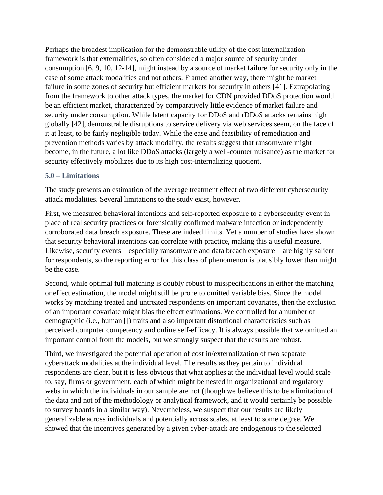Perhaps the broadest implication for the demonstrable utility of the cost internalization framework is that externalities, so often considered a major source of security under consumption [6, 9, 10, 12-14], might instead by a source of market failure for security only in the case of some attack modalities and not others. Framed another way, there might be market failure in some zones of security but efficient markets for security in others [41]. Extrapolating from the framework to other attack types, the market for CDN provided DDoS protection would be an efficient market, characterized by comparatively little evidence of market failure and security under consumption. While latent capacity for DDoS and rDDoS attacks remains high globally [42], demonstrable disruptions to service delivery via web services seem, on the face of it at least, to be fairly negligible today. While the ease and feasibility of remediation and prevention methods varies by attack modality, the results suggest that ransomware might become, in the future, a lot like DDoS attacks (largely a well-counter nuisance) as the market for security effectively mobilizes due to its high cost-internalizing quotient.

## **5.0 – Limitations**

The study presents an estimation of the average treatment effect of two different cybersecurity attack modalities. Several limitations to the study exist, however.

First, we measured behavioral intentions and self-reported exposure to a cybersecurity event in place of real security practices or forensically confirmed malware infection or independently corroborated data breach exposure. These are indeed limits. Yet a number of studies have shown that security behavioral intentions can correlate with practice, making this a useful measure. Likewise, security events—especially ransomware and data breach exposure—are highly salient for respondents, so the reporting error for this class of phenomenon is plausibly lower than might be the case.

Second, while optimal full matching is doubly robust to misspecifications in either the matching or effect estimation, the model might still be prone to omitted variable bias. Since the model works by matching treated and untreated respondents on important covariates, then the exclusion of an important covariate might bias the effect estimations. We controlled for a number of demographic (i.e., human []) traits and also important distortional characteristics such as perceived computer competency and online self-efficacy. It is always possible that we omitted an important control from the models, but we strongly suspect that the results are robust.

Third, we investigated the potential operation of cost in/externalization of two separate cyberattack modalities at the individual level. The results as they pertain to individual respondents are clear, but it is less obvious that what applies at the individual level would scale to, say, firms or government, each of which might be nested in organizational and regulatory webs in which the individuals in our sample are not (though we believe this to be a limitation of the data and not of the methodology or analytical framework, and it would certainly be possible to survey boards in a similar way). Nevertheless, we suspect that our results are likely generalizable across individuals and potentially across scales, at least to some degree. We showed that the incentives generated by a given cyber-attack are endogenous to the selected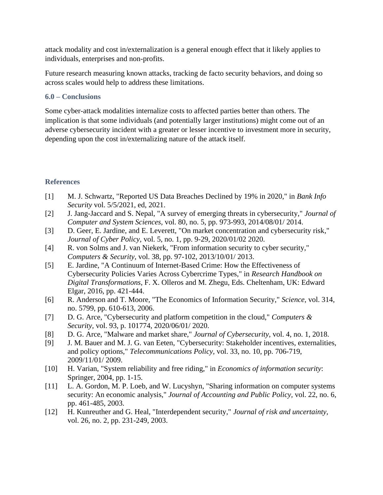attack modality and cost in/externalization is a general enough effect that it likely applies to individuals, enterprises and non-profits.

Future research measuring known attacks, tracking de facto security behaviors, and doing so across scales would help to address these limitations.

## **6.0 – Conclusions**

Some cyber-attack modalities internalize costs to affected parties better than others. The implication is that some individuals (and potentially larger institutions) might come out of an adverse cybersecurity incident with a greater or lesser incentive to investment more in security, depending upon the cost in/externalizing nature of the attack itself.

# **References**

- [1] M. J. Schwartz, "Reported US Data Breaches Declined by 19% in 2020," in *Bank Info Security* vol. 5/5/2021, ed, 2021.
- [2] J. Jang-Jaccard and S. Nepal, "A survey of emerging threats in cybersecurity," *Journal of Computer and System Sciences,* vol. 80, no. 5, pp. 973-993, 2014/08/01/ 2014.
- [3] D. Geer, E. Jardine, and E. Leverett, "On market concentration and cybersecurity risk," *Journal of Cyber Policy,* vol. 5, no. 1, pp. 9-29, 2020/01/02 2020.
- [4] R. von Solms and J. van Niekerk, "From information security to cyber security," *Computers & Security,* vol. 38, pp. 97-102, 2013/10/01/ 2013.
- [5] E. Jardine, "A Continuum of Internet-Based Crime: How the Effectiveness of Cybersecurity Policies Varies Across Cybercrime Types," in *Research Handbook on Digital Transformations*, F. X. Olleros and M. Zhegu, Eds. Cheltenham, UK: Edward Elgar, 2016, pp. 421-444.
- [6] R. Anderson and T. Moore, "The Economics of Information Security," *Science,* vol. 314, no. 5799, pp. 610-613, 2006.
- [7] D. G. Arce, "Cybersecurity and platform competition in the cloud," *Computers & Security,* vol. 93, p. 101774, 2020/06/01/ 2020.
- [8] D. G. Arce, "Malware and market share," *Journal of Cybersecurity,* vol. 4, no. 1, 2018.
- [9] J. M. Bauer and M. J. G. van Eeten, "Cybersecurity: Stakeholder incentives, externalities, and policy options," *Telecommunications Policy,* vol. 33, no. 10, pp. 706-719, 2009/11/01/ 2009.
- [10] H. Varian, "System reliability and free riding," in *Economics of information security*: Springer, 2004, pp. 1-15.
- [11] L. A. Gordon, M. P. Loeb, and W. Lucyshyn, "Sharing information on computer systems security: An economic analysis," *Journal of Accounting and Public Policy,* vol. 22, no. 6, pp. 461-485, 2003.
- [12] H. Kunreuther and G. Heal, "Interdependent security," *Journal of risk and uncertainty,*  vol. 26, no. 2, pp. 231-249, 2003.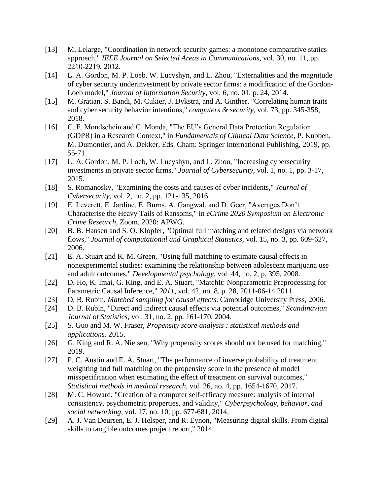- [13] M. Lelarge, "Coordination in network security games: a monotone comparative statics approach," *IEEE Journal on Selected Areas in Communications,* vol. 30, no. 11, pp. 2210-2219, 2012.
- [14] L. A. Gordon, M. P. Loeb, W. Lucyshyn, and L. Zhou, "Externalities and the magnitude of cyber security underinvestment by private sector firms: a modification of the Gordon-Loeb model," *Journal of Information Security,* vol. 6, no. 01, p. 24, 2014.
- [15] M. Gratian, S. Bandi, M. Cukier, J. Dykstra, and A. Ginther, "Correlating human traits" and cyber security behavior intentions," *computers & security,* vol. 73, pp. 345-358, 2018.
- [16] C. F. Mondschein and C. Monda, "The EU's General Data Protection Regulation (GDPR) in a Research Context," in *Fundamentals of Clinical Data Science*, P. Kubben, M. Dumontier, and A. Dekker, Eds. Cham: Springer International Publishing, 2019, pp. 55-71.
- [17] L. A. Gordon, M. P. Loeb, W. Lucyshyn, and L. Zhou, "Increasing cybersecurity investments in private sector firms," *Journal of Cybersecurity,* vol. 1, no. 1, pp. 3-17, 2015.
- [18] S. Romanosky, "Examining the costs and causes of cyber incidents," *Journal of Cybersecurity,* vol. 2, no. 2, pp. 121-135, 2016.
- [19] E. Leverett, E. Jardine, E. Burns, A. Gangwal, and D. Geer, "Averages Don't Characterise the Heavy Tails of Ransoms," in *eCrime 2020 Symposium on Electronic Crime Research*, Zoom, 2020: APWG.
- [20] B. B. Hansen and S. O. Klopfer, "Optimal full matching and related designs via network flows," *Journal of computational and Graphical Statistics,* vol. 15, no. 3, pp. 609-627, 2006.
- [21] E. A. Stuart and K. M. Green, "Using full matching to estimate causal effects in nonexperimental studies: examining the relationship between adolescent marijuana use and adult outcomes," *Developmental psychology,* vol. 44, no. 2, p. 395, 2008.
- [22] D. Ho, K. Imai, G. King, and E. A. Stuart, "MatchIt: Nonparametric Preprocessing for Parametric Causal Inference," *2011,* vol. 42, no. 8, p. 28, 2011-06-14 2011.
- [23] D. B. Rubin, *Matched sampling for causal effects*. Cambridge University Press, 2006.
- [24] D. B. Rubin, "Direct and indirect causal effects via potential outcomes," *Scandinavian Journal of Statistics,* vol. 31, no. 2, pp. 161-170, 2004.
- [25] S. Guo and M. W. Fraser, *Propensity score analysis : statistical methods and applications*. 2015.
- [26] G. King and R. A. Nielsen, "Why propensity scores should not be used for matching," 2019.
- [27] P. C. Austin and E. A. Stuart, "The performance of inverse probability of treatment weighting and full matching on the propensity score in the presence of model misspecification when estimating the effect of treatment on survival outcomes," *Statistical methods in medical research,* vol. 26, no. 4, pp. 1654-1670, 2017.
- [28] M. C. Howard, "Creation of a computer self-efficacy measure: analysis of internal consistency, psychometric properties, and validity," *Cyberpsychology, behavior, and social networking,* vol. 17, no. 10, pp. 677-681, 2014.
- [29] A. J. Van Deursen, E. J. Helsper, and R. Eynon, "Measuring digital skills. From digital skills to tangible outcomes project report," 2014.